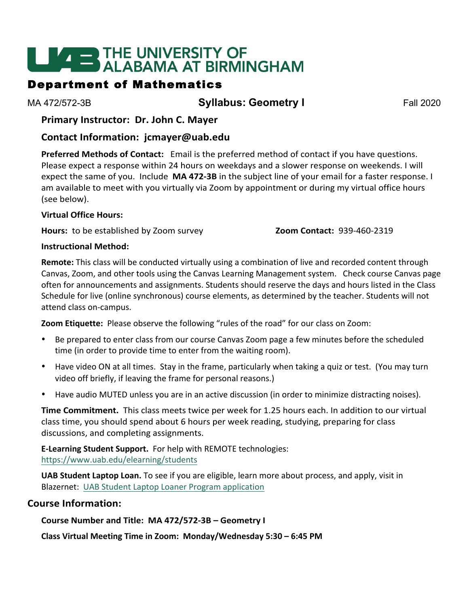# **LIVE THE UNIVERSITY OF<br>ALABAMA AT BIRMINGHAM**

## Department of Mathematics

MA 472/572-3B **Syllabus: Geometry I** Fall 2020

**Primary Instructor: Dr. John C. Mayer** 

## **Contact Information: jcmayer@uab.edu**

Preferred Methods of Contact: Email is the preferred method of contact if you have questions. Please expect a response within 24 hours on weekdays and a slower response on weekends. I will expect the same of you. Include MA 472-3B in the subject line of your email for a faster response. I am available to meet with you virtually via Zoom by appointment or during my virtual office hours (see below).

#### **Virtual Office Hours:**

**Hours:** to be established by Zoom survey **Zoom Contact:** 939-460-2319

#### **Instructional Method:**

**Remote:** This class will be conducted virtually using a combination of live and recorded content through Canvas, Zoom, and other tools using the Canvas Learning Management system. Check course Canvas page often for announcements and assignments. Students should reserve the days and hours listed in the Class Schedule for live (online synchronous) course elements, as determined by the teacher. Students will not attend class on-campus.

**Zoom Etiquette:** Please observe the following "rules of the road" for our class on Zoom:

- Be prepared to enter class from our course Canvas Zoom page a few minutes before the scheduled time (in order to provide time to enter from the waiting room).
- Have video ON at all times. Stay in the frame, particularly when taking a quiz or test. (You may turn video off briefly, if leaving the frame for personal reasons.)
- Have audio MUTED unless you are in an active discussion (in order to minimize distracting noises).

**Time Commitment.** This class meets twice per week for 1.25 hours each. In addition to our virtual class time, you should spend about 6 hours per week reading, studying, preparing for class discussions, and completing assignments.

**E-Learning Student Support.** For help with REMOTE technologies: https://www.uab.edu/elearning/students

**UAB Student Laptop Loan.** To see if you are eligible, learn more about process, and apply, visit in Blazernet: UAB Student Laptop Loaner Program application

## **Course Information:**

**Course Number and Title: MA 472/572-3B – Geometry I**

**Class Virtual Meeting Time in Zoom: Monday/Wednesday 5:30 – 6:45 PM**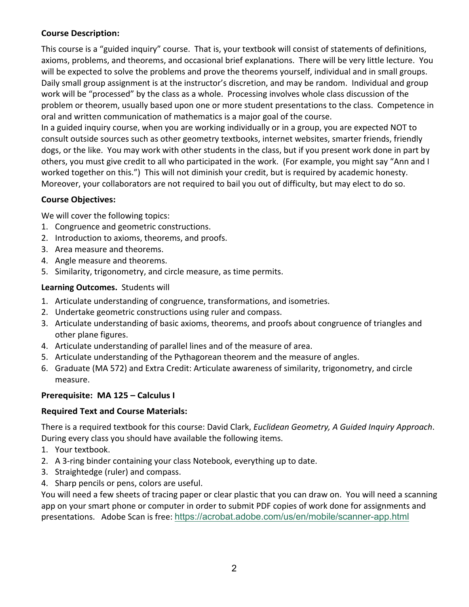## **Course Description:**

This course is a "guided inquiry" course. That is, your textbook will consist of statements of definitions, axioms, problems, and theorems, and occasional brief explanations. There will be very little lecture. You will be expected to solve the problems and prove the theorems yourself, individual and in small groups. Daily small group assignment is at the instructor's discretion, and may be random. Individual and group work will be "processed" by the class as a whole. Processing involves whole class discussion of the problem or theorem, usually based upon one or more student presentations to the class. Competence in oral and written communication of mathematics is a major goal of the course.

In a guided inquiry course, when you are working individually or in a group, you are expected NOT to consult outside sources such as other geometry textbooks, internet websites, smarter friends, friendly dogs, or the like. You may work with other students in the class, but if you present work done in part by others, you must give credit to all who participated in the work. (For example, you might say "Ann and I worked together on this.") This will not diminish your credit, but is required by academic honesty. Moreover, your collaborators are not required to bail you out of difficulty, but may elect to do so.

### **Course Objectives:**

We will cover the following topics:

- 1. Congruence and geometric constructions.
- 2. Introduction to axioms, theorems, and proofs.
- 3. Area measure and theorems.
- 4. Angle measure and theorems.
- 5. Similarity, trigonometry, and circle measure, as time permits.

### Learning Outcomes. Students will

- 1. Articulate understanding of congruence, transformations, and isometries.
- 2. Undertake geometric constructions using ruler and compass.
- 3. Articulate understanding of basic axioms, theorems, and proofs about congruence of triangles and other plane figures.
- 4. Articulate understanding of parallel lines and of the measure of area.
- 5. Articulate understanding of the Pythagorean theorem and the measure of angles.
- 6. Graduate (MA 572) and Extra Credit: Articulate awareness of similarity, trigonometry, and circle measure.

## **Prerequisite: MA 125 - Calculus I**

#### **Required Text and Course Materials:**

There is a required textbook for this course: David Clark, *Euclidean Geometry, A Guided Inquiry Approach*. During every class you should have available the following items.

- 1. Your textbook.
- 2. A 3-ring binder containing your class Notebook, everything up to date.
- 3. Straightedge (ruler) and compass.
- 4. Sharp pencils or pens, colors are useful.

You will need a few sheets of tracing paper or clear plastic that you can draw on. You will need a scanning app on your smart phone or computer in order to submit PDF copies of work done for assignments and presentations. Adobe Scan is free: https://acrobat.adobe.com/us/en/mobile/scanner-app.html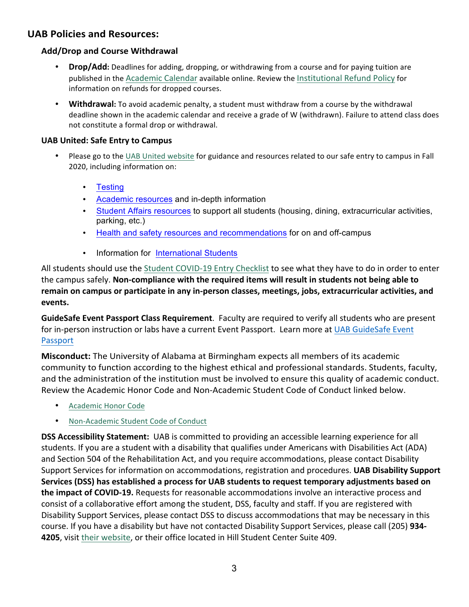## **UAB Policies and Resources:**

## **Add/Drop and Course Withdrawal**

- **Drop/Add:** Deadlines for adding, dropping, or withdrawing from a course and for paying tuition are published in the Academic Calendar available online. Review the Institutional Refund Policy for information on refunds for dropped courses.
- **Withdrawal:** To avoid academic penalty, a student must withdraw from a course by the withdrawal deadline shown in the academic calendar and receive a grade of W (withdrawn). Failure to attend class does not constitute a formal drop or withdrawal.

#### **UAB United: Safe Entry to Campus**

- Please go to the UAB United website for guidance and resources related to our safe entry to campus in Fall 2020, including information on:
	- Testing
	- Academic resources and in-depth information
	- Student Affairs resources to support all students (housing, dining, extracurricular activities, parking, etc.)
	- Health and safety resources and recommendations for on and off-campus
	- Information for International Students

All students should use the Student COVID-19 Entry Checklist to see what they have to do in order to enter the campus safely. Non-compliance with the required items will result in students not being able to remain on campus or participate in any in-person classes, meetings, jobs, extracurricular activities, and **events.**

**GuideSafe Event Passport Class Requirement**. Faculty are required to verify all students who are present for in-person instruction or labs have a current Event Passport. Learn more at UAB GuideSafe Event Passport

**Misconduct:** The University of Alabama at Birmingham expects all members of its academic community to function according to the highest ethical and professional standards. Students, faculty, and the administration of the institution must be involved to ensure this quality of academic conduct. Review the Academic Honor Code and Non-Academic Student Code of Conduct linked below.

- Academic Honor Code
- Non-Academic Student Code of Conduct

**DSS Accessibility Statement:** UAB is committed to providing an accessible learning experience for all students. If you are a student with a disability that qualifies under Americans with Disabilities Act (ADA) and Section 504 of the Rehabilitation Act, and you require accommodations, please contact Disability Support Services for information on accommodations, registration and procedures. UAB Disability Support Services (DSS) has established a process for UAB students to request temporary adjustments based on the impact of COVID-19. Requests for reasonable accommodations involve an interactive process and consist of a collaborative effort among the student, DSS, faculty and staff. If you are registered with Disability Support Services, please contact DSS to discuss accommodations that may be necessary in this course. If you have a disability but have not contacted Disability Support Services, please call (205) 934-4205, visit their website, or their office located in Hill Student Center Suite 409.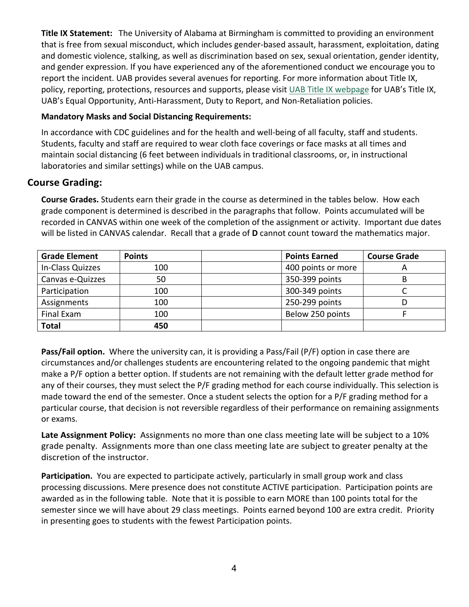**Title IX Statement:** The University of Alabama at Birmingham is committed to providing an environment that is free from sexual misconduct, which includes gender-based assault, harassment, exploitation, dating and domestic violence, stalking, as well as discrimination based on sex, sexual orientation, gender identity, and gender expression. If you have experienced any of the aforementioned conduct we encourage you to report the incident. UAB provides several avenues for reporting. For more information about Title IX, policy, reporting, protections, resources and supports, please visit UAB Title IX webpage for UAB's Title IX, UAB's Equal Opportunity, Anti-Harassment, Duty to Report, and Non-Retaliation policies.

#### **Mandatory Masks and Social Distancing Requirements:**

In accordance with CDC guidelines and for the health and well-being of all faculty, staff and students. Students, faculty and staff are required to wear cloth face coverings or face masks at all times and maintain social distancing (6 feet between individuals in traditional classrooms, or, in instructional laboratories and similar settings) while on the UAB campus.

## **Course Grading:**

**Course Grades.** Students earn their grade in the course as determined in the tables below. How each grade component is determined is described in the paragraphs that follow. Points accumulated will be recorded in CANVAS within one week of the completion of the assignment or activity. Important due dates will be listed in CANVAS calendar. Recall that a grade of D cannot count toward the mathematics major.

| <b>Grade Element</b> | <b>Points</b> | <b>Points Earned</b> | <b>Course Grade</b> |
|----------------------|---------------|----------------------|---------------------|
| In-Class Quizzes     | 100           | 400 points or more   |                     |
| Canvas e-Quizzes     | 50            | 350-399 points       |                     |
| Participation        | 100           | 300-349 points       |                     |
| Assignments          | 100           | 250-299 points       |                     |
| Final Exam           | 100           | Below 250 points     |                     |
| <b>Total</b>         | 450           |                      |                     |

**Pass/Fail option.** Where the university can, it is providing a Pass/Fail (P/F) option in case there are circumstances and/or challenges students are encountering related to the ongoing pandemic that might make a P/F option a better option. If students are not remaining with the default letter grade method for any of their courses, they must select the P/F grading method for each course individually. This selection is made toward the end of the semester. Once a student selects the option for a P/F grading method for a particular course, that decision is not reversible regardless of their performance on remaining assignments or exams.

Late Assignment Policy: Assignments no more than one class meeting late will be subject to a 10% grade penalty. Assignments more than one class meeting late are subject to greater penalty at the discretion of the instructor.

Participation. You are expected to participate actively, particularly in small group work and class processing discussions. Mere presence does not constitute ACTIVE participation. Participation points are awarded as in the following table. Note that it is possible to earn MORE than 100 points total for the semester since we will have about 29 class meetings. Points earned beyond 100 are extra credit. Priority in presenting goes to students with the fewest Participation points.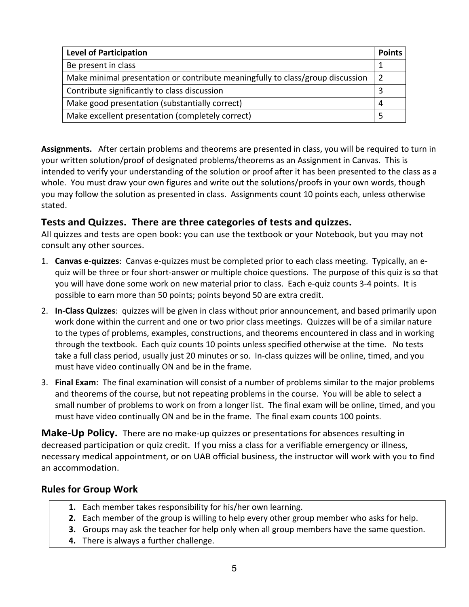| <b>Level of Participation</b>                                                  |  |  |
|--------------------------------------------------------------------------------|--|--|
| Be present in class                                                            |  |  |
| Make minimal presentation or contribute meaningfully to class/group discussion |  |  |
| Contribute significantly to class discussion                                   |  |  |
| Make good presentation (substantially correct)                                 |  |  |
| Make excellent presentation (completely correct)                               |  |  |

**Assignments.** After certain problems and theorems are presented in class, you will be required to turn in your written solution/proof of designated problems/theorems as an Assignment in Canvas. This is intended to verify your understanding of the solution or proof after it has been presented to the class as a whole. You must draw your own figures and write out the solutions/proofs in your own words, though you may follow the solution as presented in class. Assignments count 10 points each, unless otherwise stated.

## **Tests and Quizzes. There are three categories of tests and quizzes.**

All quizzes and tests are open book: you can use the textbook or your Notebook, but you may not consult any other sources.

- 1. **Canvas e-quizzes**: Canvas e-quizzes must be completed prior to each class meeting. Typically, an equiz will be three or four short-answer or multiple choice questions. The purpose of this quiz is so that you will have done some work on new material prior to class. Each e-quiz counts 3-4 points. It is possible to earn more than 50 points; points beyond 50 are extra credit.
- 2. **In-Class Quizzes**: quizzes will be given in class without prior announcement, and based primarily upon work done within the current and one or two prior class meetings. Quizzes will be of a similar nature to the types of problems, examples, constructions, and theorems encountered in class and in working through the textbook. Each quiz counts 10 points unless specified otherwise at the time. No tests take a full class period, usually just 20 minutes or so. In-class quizzes will be online, timed, and you must have video continually ON and be in the frame.
- 3. **Final Exam**: The final examination will consist of a number of problems similar to the major problems and theorems of the course, but not repeating problems in the course. You will be able to select a small number of problems to work on from a longer list. The final exam will be online, timed, and you must have video continually ON and be in the frame. The final exam counts 100 points.

**Make-Up Policy.** There are no make-up quizzes or presentations for absences resulting in decreased participation or quiz credit. If you miss a class for a verifiable emergency or illness, necessary medical appointment, or on UAB official business, the instructor will work with you to find an accommodation.

## **Rules for Group Work**

- **1.** Each member takes responsibility for his/her own learning.
- **2.** Each member of the group is willing to help every other group member who asks for help.
- **3.** Groups may ask the teacher for help only when all group members have the same question.
- **4.** There is always a further challenge.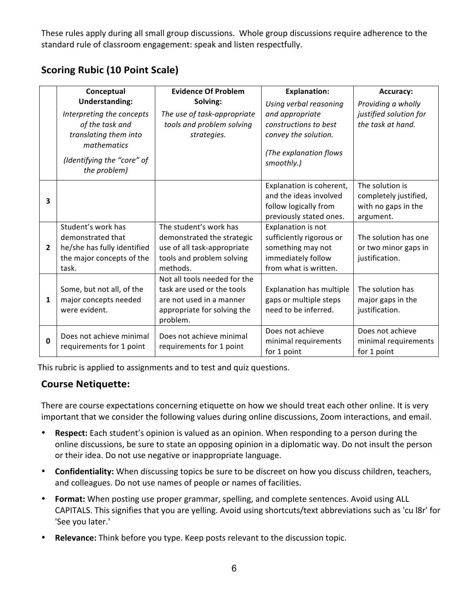These rules apply during all small group discussions. Whole group discussions require adherence to the standard rule of classroom engagement: speak and listen respectfully.

|                | Conceptual                                           | <b>Evidence Of Problem</b>                           | <b>Explanation:</b>                                                                                    | Accuracy:                                                                    |
|----------------|------------------------------------------------------|------------------------------------------------------|--------------------------------------------------------------------------------------------------------|------------------------------------------------------------------------------|
|                | <b>Understanding:</b>                                | Solving:                                             | Using verbal reasoning                                                                                 | Providing a wholly                                                           |
|                | Interpreting the concepts                            | The use of task-appropriate                          | and appropriate                                                                                        | justified solution for                                                       |
|                | of the task and<br>translating them into             | tools and problem solving<br>strategies.             | constructions to best<br>convey the solution.                                                          | the task at hand.                                                            |
|                | mathematics                                          |                                                      | (The explanation flows                                                                                 |                                                                              |
|                | (Identifying the "core" of<br>the problem)           |                                                      | smoothly.)                                                                                             |                                                                              |
| 3              |                                                      |                                                      | Explanation is coherent,<br>and the ideas involved<br>follow logically from<br>previously stated ones. | The solution is<br>completely justified,<br>with no gaps in the<br>argument. |
|                | Student's work has                                   | The student's work has                               | Explanation is not                                                                                     |                                                                              |
|                | demonstrated that                                    | demonstrated the strategic                           | sufficiently rigorous or                                                                               | The solution has one                                                         |
| $\overline{2}$ | he/she has fully identified                          | use of all task-appropriate                          | something may not                                                                                      | or two minor gaps in                                                         |
|                | the major concepts of the                            | tools and problem solving                            | immediately follow                                                                                     | justification.                                                               |
|                | task.                                                | methods.                                             | from what is written.                                                                                  |                                                                              |
|                |                                                      | Not all tools needed for the                         |                                                                                                        |                                                                              |
|                | Some, but not all, of the                            | task are used or the tools                           | Explanation has multiple                                                                               | The solution has                                                             |
| 1              | major concepts needed                                | are not used in a manner                             | gaps or multiple steps                                                                                 | major gaps in the                                                            |
|                | were evident.                                        | appropriate for solving the<br>problem.              | need to be inferred.                                                                                   | justification.                                                               |
| 0              | Does not achieve minimal<br>requirements for 1 point | Does not achieve minimal<br>requirements for 1 point | Does not achieve<br>minimal requirements<br>for 1 point                                                | Does not achieve<br>minimal requirements<br>for 1 point                      |

## **Scoring Rubic (10 Point Scale)**

This rubric is applied to assignments and to test and quiz questions.

## **Course Netiquette:**

There are course expectations concerning etiquette on how we should treat each other online. It is very important that we consider the following values during online discussions, Zoom interactions, and email.

- **Respect:** Each student's opinion is valued as an opinion. When responding to a person during the online discussions, be sure to state an opposing opinion in a diplomatic way. Do not insult the person or their idea. Do not use negative or inappropriate language.
- Confidentiality: When discussing topics be sure to be discreet on how you discuss children, teachers, and colleagues. Do not use names of people or names of facilities.
- **Format:** When posting use proper grammar, spelling, and complete sentences. Avoid using ALL CAPITALS. This signifies that you are yelling. Avoid using shortcuts/text abbreviations such as 'cu l8r' for 'See you later.'
- **Relevance:** Think before you type. Keep posts relevant to the discussion topic.